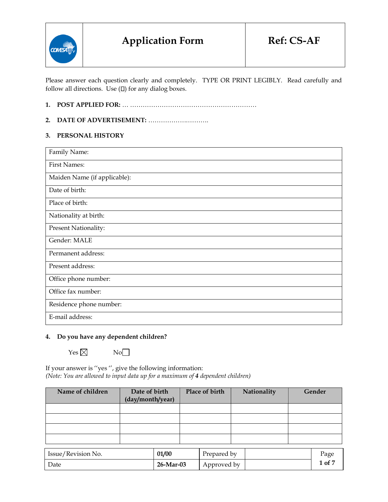

Please answer each question clearly and completely. TYPE OR PRINT LEGIBLY. Read carefully and follow all directions. Use  $(D)$  for any dialog boxes.

## **1. POST APPLIED FOR:** … ……………………………………………………

## **2. DATE OF ADVERTISEMENT:** ……………….……….

#### **3. PERSONAL HISTORY**

| Family Name:                 |
|------------------------------|
| <b>First Names:</b>          |
| Maiden Name (if applicable): |
| Date of birth:               |
| Place of birth:              |
| Nationality at birth:        |
| <b>Present Nationality:</b>  |
| Gender: MALE                 |
| Permanent address:           |
| Present address:             |
| Office phone number:         |
| Office fax number:           |
| Residence phone number:      |
| E-mail address:              |

#### **4. Do you have any dependent children?**

 $Yes \boxtimes$  No $\Box$ 

If your answer is ''yes '', give the following information: *(Note: You are allowed to input data up for a maximum of 4 dependent children)*

| Name of children | Date of birth<br>(day/month/year) | Place of birth | Nationality | Gender |
|------------------|-----------------------------------|----------------|-------------|--------|
|                  |                                   |                |             |        |
|                  |                                   |                |             |        |
|                  |                                   |                |             |        |
|                  |                                   |                |             |        |

| Issue/Revision No. | 01/00     | Prepared by | Page   |
|--------------------|-----------|-------------|--------|
| Date               | 26-Mar-03 | Approved by | 1 of 7 |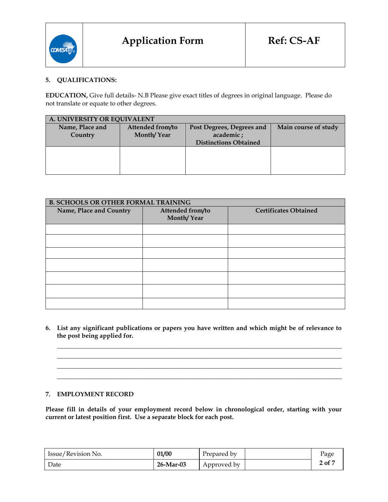

## **5. QUALIFICATIONS:**

**EDUCATION,** Give full details- N.B Please give exact titles of degrees in original language. Please do not translate or equate to other degrees.

| A. UNIVERSITY OR EQUIVALENT |                                |                                                                        |                      |  |  |
|-----------------------------|--------------------------------|------------------------------------------------------------------------|----------------------|--|--|
| Name, Place and<br>Country  | Attended from/to<br>Month/Year | Post Degrees, Degrees and<br>academic;<br><b>Distinctions Obtained</b> | Main course of study |  |  |
|                             |                                |                                                                        |                      |  |  |

| <b>B. SCHOOLS OR OTHER FORMAL TRAINING</b> |                                |                              |  |  |  |
|--------------------------------------------|--------------------------------|------------------------------|--|--|--|
| Name, Place and Country                    | Attended from/to<br>Month/Year | <b>Certificates Obtained</b> |  |  |  |
|                                            |                                |                              |  |  |  |
|                                            |                                |                              |  |  |  |
|                                            |                                |                              |  |  |  |
|                                            |                                |                              |  |  |  |
|                                            |                                |                              |  |  |  |
|                                            |                                |                              |  |  |  |
|                                            |                                |                              |  |  |  |

**6. List any significant publications or papers you have written and which might be of relevance to the post being applied for.**

**\_\_\_\_\_\_\_\_\_\_\_\_\_\_\_\_\_\_\_\_\_\_\_\_\_\_\_\_\_\_\_\_\_\_\_\_\_\_\_\_\_\_\_\_\_\_\_\_\_\_\_\_\_\_\_\_\_\_\_\_\_\_\_\_\_\_\_\_\_\_\_\_\_\_\_\_\_\_\_\_\_\_\_\_\_\_\_\_\_\_ \_\_\_\_\_\_\_\_\_\_\_\_\_\_\_\_\_\_\_\_\_\_\_\_\_\_\_\_\_\_\_\_\_\_\_\_\_\_\_\_\_\_\_\_\_\_\_\_\_\_\_\_\_\_\_\_\_\_\_\_\_\_\_\_\_\_\_\_\_\_\_\_\_\_\_\_\_\_\_\_\_\_\_\_\_\_\_\_\_\_ \_\_\_\_\_\_\_\_\_\_\_\_\_\_\_\_\_\_\_\_\_\_\_\_\_\_\_\_\_\_\_\_\_\_\_\_\_\_\_\_\_\_\_\_\_\_\_\_\_\_\_\_\_\_\_\_\_\_\_\_\_\_\_\_\_\_\_\_\_\_\_\_\_\_\_\_\_\_\_\_\_\_\_\_\_\_\_\_\_\_ \_\_\_\_\_\_\_\_\_\_\_\_\_\_\_\_\_\_\_\_\_\_\_\_\_\_\_\_\_\_\_\_\_\_\_\_\_\_\_\_\_\_\_\_\_\_\_\_\_\_\_\_\_\_\_\_\_\_\_\_\_\_\_\_\_\_\_\_\_\_\_\_\_\_\_\_\_\_\_\_\_\_\_\_\_\_\_\_\_\_**

#### **7. EMPLOYMENT RECORD**

**Please fill in details of your employment record below in chronological order, starting with your current or latest position first. Use a separate block for each post.**

| Issue/Revision No. | 01/00        | Prepared by | Page   |
|--------------------|--------------|-------------|--------|
| Date               | $26$ -Mar-03 | Approved by | 2 of 7 |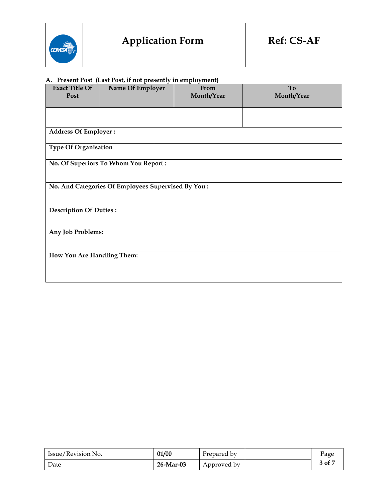

# **A. Present Post (Last Post, if not presently in employment)**

| <b>Exact Title Of</b>       | Name Of Employer                                    | From       | To         |  |  |  |  |
|-----------------------------|-----------------------------------------------------|------------|------------|--|--|--|--|
| Post                        |                                                     | Month/Year | Month/Year |  |  |  |  |
|                             |                                                     |            |            |  |  |  |  |
|                             |                                                     |            |            |  |  |  |  |
|                             |                                                     |            |            |  |  |  |  |
| <b>Address Of Employer:</b> |                                                     |            |            |  |  |  |  |
| Type Of Organisation        |                                                     |            |            |  |  |  |  |
|                             | No. Of Superiors To Whom You Report:                |            |            |  |  |  |  |
|                             |                                                     |            |            |  |  |  |  |
|                             | No. And Categories Of Employees Supervised By You : |            |            |  |  |  |  |
|                             |                                                     |            |            |  |  |  |  |
|                             | <b>Description Of Duties:</b>                       |            |            |  |  |  |  |
|                             |                                                     |            |            |  |  |  |  |
| Any Job Problems:           |                                                     |            |            |  |  |  |  |
|                             |                                                     |            |            |  |  |  |  |
| How You Are Handling Them:  |                                                     |            |            |  |  |  |  |
|                             |                                                     |            |            |  |  |  |  |
|                             |                                                     |            |            |  |  |  |  |

| Issue/Revision No. | 01/00        | Prepared by | Page   |
|--------------------|--------------|-------------|--------|
| Date               | $26$ -Mar-03 | Approved by | 3 of 7 |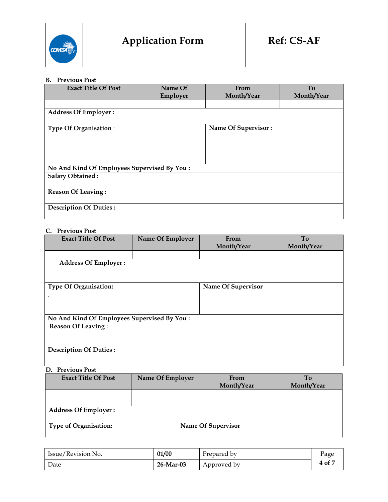

### **B. Previous Post**

| <b>Exact Title Of Post</b>                   | Name Of  | From                | To         |
|----------------------------------------------|----------|---------------------|------------|
|                                              | Employer | Month/Year          | Month/Year |
|                                              |          |                     |            |
| <b>Address Of Employer:</b>                  |          |                     |            |
| <b>Type Of Organisation:</b>                 |          | Name Of Supervisor: |            |
|                                              |          |                     |            |
|                                              |          |                     |            |
|                                              |          |                     |            |
| No And Kind Of Employees Supervised By You : |          |                     |            |
| <b>Salary Obtained:</b>                      |          |                     |            |
| <b>Reason Of Leaving:</b>                    |          |                     |            |
| <b>Description Of Duties:</b>                |          |                     |            |

# **C. Previous Post**

| <b>Exact Title Of Post</b>                   | Name Of Employer | From               | <b>To</b>  |
|----------------------------------------------|------------------|--------------------|------------|
|                                              |                  | Month/Year         | Month/Year |
|                                              |                  |                    |            |
| <b>Address Of Employer:</b>                  |                  |                    |            |
|                                              |                  |                    |            |
|                                              |                  |                    |            |
| <b>Type Of Organisation:</b>                 |                  | Name Of Supervisor |            |
|                                              |                  |                    |            |
|                                              |                  |                    |            |
|                                              |                  |                    |            |
| No And Kind Of Employees Supervised By You : |                  |                    |            |
| <b>Reason Of Leaving:</b>                    |                  |                    |            |
|                                              |                  |                    |            |
|                                              |                  |                    |            |
| <b>Description Of Duties:</b>                |                  |                    |            |
|                                              |                  |                    |            |
|                                              |                  |                    |            |

#### **D. Previous Post**

| <b>Exact Title Of Post</b>   | Name Of Employer | From<br>Month/Year | T <sub>0</sub><br>Month/Year |
|------------------------------|------------------|--------------------|------------------------------|
|                              |                  |                    |                              |
| <b>Address Of Employer:</b>  |                  |                    |                              |
| <b>Type of Organisation:</b> |                  | Name Of Supervisor |                              |

| Issue/Revision No. | 01/00     | Prepared by | Page   |
|--------------------|-----------|-------------|--------|
| Date               | 26-Mar-03 | Approved by | 4 of 7 |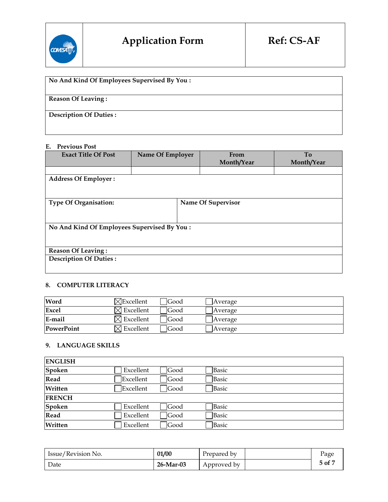

| No And Kind Of Employees Supervised By You: |
|---------------------------------------------|
|                                             |
|                                             |
| <b>Reason Of Leaving:</b>                   |
|                                             |
| <b>Description Of Duties:</b>               |
|                                             |
|                                             |
|                                             |

## **E. Previous Post**

| <b>Exact Title Of Post</b>    | Name Of Employer                             |  | From               | To         |  |  |  |
|-------------------------------|----------------------------------------------|--|--------------------|------------|--|--|--|
|                               |                                              |  | Month/Year         | Month/Year |  |  |  |
|                               |                                              |  |                    |            |  |  |  |
| <b>Address Of Employer:</b>   |                                              |  |                    |            |  |  |  |
|                               |                                              |  |                    |            |  |  |  |
|                               |                                              |  |                    |            |  |  |  |
| <b>Type Of Organisation:</b>  |                                              |  | Name Of Supervisor |            |  |  |  |
|                               |                                              |  |                    |            |  |  |  |
|                               |                                              |  |                    |            |  |  |  |
|                               | No And Kind Of Employees Supervised By You : |  |                    |            |  |  |  |
|                               |                                              |  |                    |            |  |  |  |
|                               |                                              |  |                    |            |  |  |  |
| <b>Reason Of Leaving:</b>     |                                              |  |                    |            |  |  |  |
| <b>Description Of Duties:</b> |                                              |  |                    |            |  |  |  |
|                               |                                              |  |                    |            |  |  |  |
|                               |                                              |  |                    |            |  |  |  |

#### **8. COMPUTER LITERACY**

| Word              | $\times$ Excellent    | <b>IGood</b> | Average |
|-------------------|-----------------------|--------------|---------|
| <b>Excel</b>      | $\times$ Excellent    | <b>IGood</b> | Average |
| E-mail            | $\boxtimes$ Excellent | <b>Good</b>  | Average |
| <b>PowerPoint</b> | $\boxtimes$ Excellent | <b>IGood</b> | Average |

## **9. LANGUAGE SKILLS**

| <b>ENGLISH</b> |           |      |       |  |
|----------------|-----------|------|-------|--|
| Spoken         | Excellent | Good | Basic |  |
| Read           | Excellent | Good | Basic |  |
| Written        | Excellent | Good | Basic |  |
| <b>FRENCH</b>  |           |      |       |  |
| Spoken         | Excellent | Good | Basic |  |
| Read           | Excellent | Good | Basic |  |
| Written        | Excellent | Good | Basic |  |

| Issue/Revision No. | 01/00     | Prepared by | Page   |
|--------------------|-----------|-------------|--------|
| Date               | 26-Mar-03 | Approved by | 5 of 7 |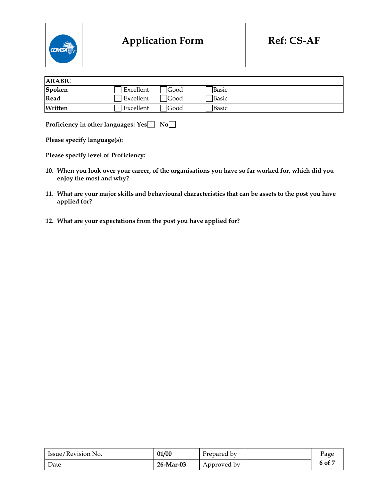

| <b>ARABIC</b> |           |             |              |  |
|---------------|-----------|-------------|--------------|--|
| Spoken        | Excellent | <b>Good</b> | <b>Basic</b> |  |
| Read          | Excellent | <b>Good</b> | <b>Basic</b> |  |
| Written       | Excellent | Good        | Basic        |  |

**Proficiency in other languages: Yes** No $\Box$ 

**Please specify language(s):**

**Please specify level of Proficiency:** 

- **10. When you look over your career, of the organisations you have so far worked for, which did you enjoy the most and why?**
- **11. What are your major skills and behavioural characteristics that can be assets to the post you have applied for?**
- **12. What are your expectations from the post you have applied for?**

| Issue/Revision No. | 01/00     | Prepared by | Page   |
|--------------------|-----------|-------------|--------|
| Date               | 26-Mar-03 | Approved by | 6 of 7 |